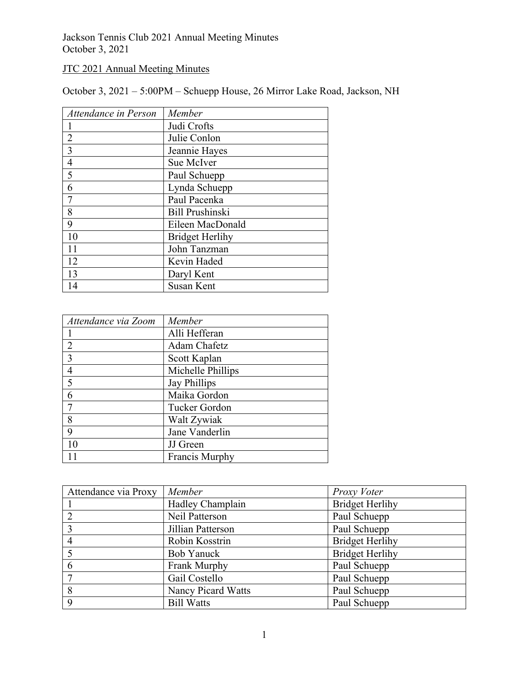Jackson Tennis Club 2021 Annual Meeting Minutes October 3, 2021

## JTC 2021 Annual Meeting Minutes

October 3, 2021 – 5:00PM – Schuepp House, 26 Mirror Lake Road, Jackson, NH

| Attendance in Person | Member                 |
|----------------------|------------------------|
|                      | Judi Crofts            |
| $\overline{2}$       | Julie Conlon           |
| $\overline{3}$       | Jeannie Hayes          |
| $\overline{4}$       | Sue McIver             |
| 5                    | Paul Schuepp           |
| 6                    | Lynda Schuepp          |
|                      | Paul Pacenka           |
| 8                    | <b>Bill Prushinski</b> |
| 9                    | Eileen MacDonald       |
| 10                   | <b>Bridget Herlihy</b> |
|                      | John Tanzman           |
| 12                   | Kevin Haded            |
| 13                   | Daryl Kent             |
| 14                   | <b>Susan Kent</b>      |

| Attendance via Zoom | Member              |
|---------------------|---------------------|
|                     | Alli Hefferan       |
| $\overline{2}$      | Adam Chafetz        |
| $\overline{3}$      | Scott Kaplan        |
| $\overline{4}$      | Michelle Phillips   |
| 5                   | <b>Jay Phillips</b> |
| 6                   | Maika Gordon        |
| $\tau$              | Tucker Gordon       |
| 8                   | Walt Zywiak         |
| 9                   | Jane Vanderlin      |
|                     | JJ Green            |
|                     | Francis Murphy      |

| Attendance via Proxy | Member                    | Proxy Voter            |
|----------------------|---------------------------|------------------------|
|                      | Hadley Champlain          | <b>Bridget Herlihy</b> |
|                      | Neil Patterson            | Paul Schuepp           |
| 3                    | Jillian Patterson         | Paul Schuepp           |
|                      | Robin Kosstrin            | <b>Bridget Herlihy</b> |
|                      | Bob Yanuck                | <b>Bridget Herlihy</b> |
|                      | Frank Murphy              | Paul Schuepp           |
|                      | Gail Costello             | Paul Schuepp           |
| 8                    | <b>Nancy Picard Watts</b> | Paul Schuepp           |
| 9                    | <b>Bill Watts</b>         | Paul Schuepp           |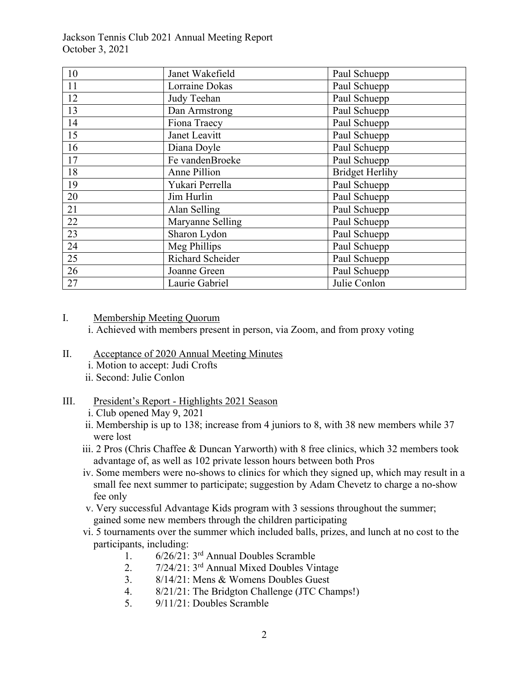Jackson Tennis Club 2021 Annual Meeting Report October 3, 2021

| 10              | Janet Wakefield  | Paul Schuepp           |
|-----------------|------------------|------------------------|
| 11              | Lorraine Dokas   | Paul Schuepp           |
| 12              | Judy Teehan      | Paul Schuepp           |
| 13              | Dan Armstrong    | Paul Schuepp           |
| 14              | Fiona Traecy     | Paul Schuepp           |
| 15              | Janet Leavitt    | Paul Schuepp           |
| 16              | Diana Doyle      | Paul Schuepp           |
| 17              | Fe vandenBroeke  | Paul Schuepp           |
| 18              | Anne Pillion     | <b>Bridget Herlihy</b> |
| 19              | Yukari Perrella  | Paul Schuepp           |
| 20              | Jim Hurlin       | Paul Schuepp           |
| 21              | Alan Selling     | Paul Schuepp           |
| 22              | Maryanne Selling | Paul Schuepp           |
| 23              | Sharon Lydon     | Paul Schuepp           |
| 24              | Meg Phillips     | Paul Schuepp           |
| $\overline{25}$ | Richard Scheider | Paul Schuepp           |
| 26              | Joanne Green     | Paul Schuepp           |
| 27              | Laurie Gabriel   | Julie Conlon           |

#### I. Membership Meeting Quorum

i. Achieved with members present in person, via Zoom, and from proxy voting

- II. Acceptance of 2020 Annual Meeting Minutes
	- i. Motion to accept: Judi Crofts
	- ii. Second: Julie Conlon

### III. President's Report - Highlights 2021 Season

- i. Club opened May 9, 2021
- ii. Membership is up to 138; increase from 4 juniors to 8, with 38 new members while 37 were lost
- iii. 2 Pros (Chris Chaffee & Duncan Yarworth) with 8 free clinics, which 32 members took advantage of, as well as 102 private lesson hours between both Pros
- iv. Some members were no-shows to clinics for which they signed up, which may result in a small fee next summer to participate; suggestion by Adam Chevetz to charge a no-show fee only
- v. Very successful Advantage Kids program with 3 sessions throughout the summer; gained some new members through the children participating
- vi. 5 tournaments over the summer which included balls, prizes, and lunch at no cost to the participants, including:
	- 1. 6/26/21: 3rd Annual Doubles Scramble
	- 2. 7/24/21: 3rd Annual Mixed Doubles Vintage
	- 3. 8/14/21: Mens & Womens Doubles Guest
	- 4. 8/21/21: The Bridgton Challenge (JTC Champs!)
	- 5. 9/11/21: Doubles Scramble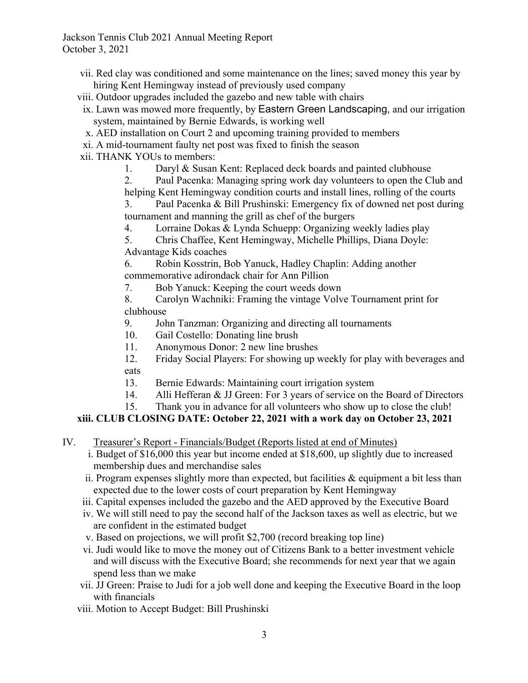- vii. Red clay was conditioned and some maintenance on the lines; saved money this year by hiring Kent Hemingway instead of previously used company
- viii. Outdoor upgrades included the gazebo and new table with chairs
- ix. Lawn was mowed more frequently, by Eastern Green Landscaping, and our irrigation system, maintained by Bernie Edwards, is working well
- x. AED installation on Court 2 and upcoming training provided to members
- xi. A mid-tournament faulty net post was fixed to finish the season
- xii. THANK YOUs to members:
	- 1. Daryl & Susan Kent: Replaced deck boards and painted clubhouse
	- 2. Paul Pacenka: Managing spring work day volunteers to open the Club and helping Kent Hemingway condition courts and install lines, rolling of the courts

3. Paul Pacenka & Bill Prushinski: Emergency fix of downed net post during tournament and manning the grill as chef of the burgers

4. Lorraine Dokas & Lynda Schuepp: Organizing weekly ladies play

5. Chris Chaffee, Kent Hemingway, Michelle Phillips, Diana Doyle: Advantage Kids coaches

6. Robin Kosstrin, Bob Yanuck, Hadley Chaplin: Adding another commemorative adirondack chair for Ann Pillion

7. Bob Yanuck: Keeping the court weeds down

8. Carolyn Wachniki: Framing the vintage Volve Tournament print for clubhouse

- 9. John Tanzman: Organizing and directing all tournaments
- 10. Gail Costello: Donating line brush
- 11. Anonymous Donor: 2 new line brushes
- 12. Friday Social Players: For showing up weekly for play with beverages and eats
- 13. Bernie Edwards: Maintaining court irrigation system
- 14. Alli Hefferan & JJ Green: For 3 years of service on the Board of Directors
- 15. Thank you in advance for all volunteers who show up to close the club!

## **xiii. CLUB CLOSING DATE: October 22, 2021 with a work day on October 23, 2021**

- IV. Treasurer's Report Financials/Budget (Reports listed at end of Minutes)
	- i. Budget of \$16,000 this year but income ended at \$18,600, up slightly due to increased membership dues and merchandise sales
	- ii. Program expenses slightly more than expected, but facilities  $\&$  equipment a bit less than expected due to the lower costs of court preparation by Kent Hemingway
	- iii. Capital expenses included the gazebo and the AED approved by the Executive Board
	- iv. We will still need to pay the second half of the Jackson taxes as well as electric, but we are confident in the estimated budget
	- v. Based on projections, we will profit \$2,700 (record breaking top line)
	- vi. Judi would like to move the money out of Citizens Bank to a better investment vehicle and will discuss with the Executive Board; she recommends for next year that we again spend less than we make
	- vii. JJ Green: Praise to Judi for a job well done and keeping the Executive Board in the loop with financials
	- viii. Motion to Accept Budget: Bill Prushinski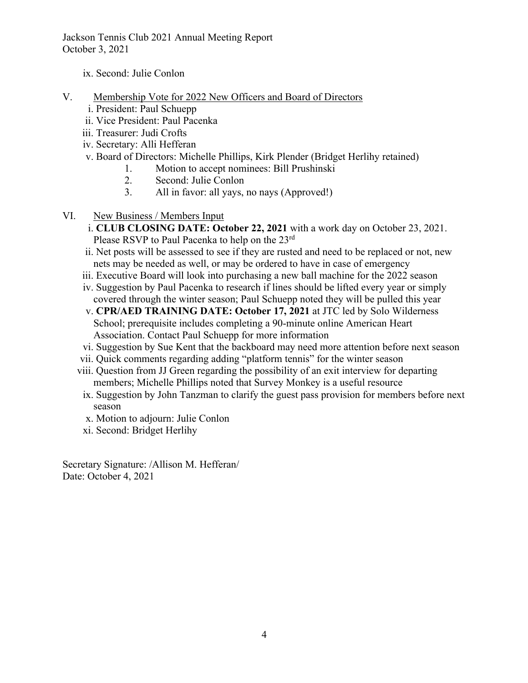Jackson Tennis Club 2021 Annual Meeting Report October 3, 2021

ix. Second: Julie Conlon

- V. Membership Vote for 2022 New Officers and Board of Directors
	- i. President: Paul Schuepp
	- ii. Vice President: Paul Pacenka
	- iii. Treasurer: Judi Crofts
	- iv. Secretary: Alli Hefferan
	- v. Board of Directors: Michelle Phillips, Kirk Plender (Bridget Herlihy retained)
		- 1. Motion to accept nominees: Bill Prushinski
		- 2. Second: Julie Conlon
		- 3. All in favor: all yays, no nays (Approved!)
- VI. New Business / Members Input
	- i. **CLUB CLOSING DATE: October 22, 2021** with a work day on October 23, 2021. Please RSVP to Paul Pacenka to help on the 23<sup>rd</sup>
	- ii. Net posts will be assessed to see if they are rusted and need to be replaced or not, new nets may be needed as well, or may be ordered to have in case of emergency
	- iii. Executive Board will look into purchasing a new ball machine for the 2022 season
	- iv. Suggestion by Paul Pacenka to research if lines should be lifted every year or simply covered through the winter season; Paul Schuepp noted they will be pulled this year
	- v. **CPR/AED TRAINING DATE: October 17, 2021** at JTC led by Solo Wilderness School; prerequisite includes completing a 90-minute online American Heart Association. Contact Paul Schuepp for more information
	- vi. Suggestion by Sue Kent that the backboard may need more attention before next season
	- vii. Quick comments regarding adding "platform tennis" for the winter season
	- viii. Question from JJ Green regarding the possibility of an exit interview for departing members; Michelle Phillips noted that Survey Monkey is a useful resource
	- ix. Suggestion by John Tanzman to clarify the guest pass provision for members before next season
	- x. Motion to adjourn: Julie Conlon
	- xi. Second: Bridget Herlihy

Secretary Signature: /Allison M. Hefferan/ Date: October 4, 2021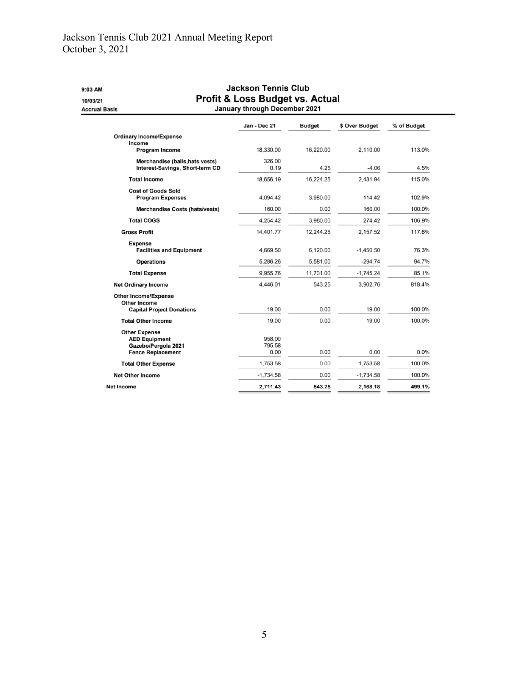## Jackson Tennis Club 2021 Annual Meeting Report October 3, 2021

| 9:03 AM<br>10/03/21<br><b>Accrual Basis</b>                                                     | <b>Jackson Tennis Club</b><br>Profit & Loss Budget vs. Actual<br>January through December 2021 |               |                |             |
|-------------------------------------------------------------------------------------------------|------------------------------------------------------------------------------------------------|---------------|----------------|-------------|
|                                                                                                 | Jan - Dec 21                                                                                   | <b>Budget</b> | \$ Over Budget | % of Budget |
| <b>Ordinary Income/Expense</b><br>Income<br><b>Program Income</b>                               | 18,330.00                                                                                      | 16,220.00     | 2.110.00       | 113.0%      |
| Merchandise (balls, hats, vests)<br>Interest-Savings, Short-term CD                             | 326.00<br>0.19                                                                                 | 4.25          | $-4.06$        | 4.5%        |
| <b>Total Income</b>                                                                             | 18,656.19                                                                                      | 16,224.25     | 2,431.94       | 115.0%      |
| <b>Cost of Goods Sold</b><br><b>Program Expenses</b>                                            | 4,094.42                                                                                       | 3,980.00      | 114.42         | 102.9%      |
| <b>Merchandise Costs (hats/vests)</b>                                                           | 160.00                                                                                         | 0.00          | 160.00         | 100.0%      |
| <b>Total COGS</b>                                                                               | 4.254.42                                                                                       | 3,980.00      | 274.42         | 106.9%      |
| <b>Gross Profit</b>                                                                             | 14,401.77                                                                                      | 12,244.25     | 2,157.52       | 117.6%      |
| <b>Expense</b><br><b>Facilities and Equipment</b>                                               | 4,669.50                                                                                       | 6,120.00      | $-1,450.50$    | 76.3%       |
| <b>Operations</b>                                                                               | 5,286.26                                                                                       | 5,581.00      | $-294.74$      | 94.7%       |
| <b>Total Expense</b>                                                                            | 9.955.76                                                                                       | 11,701.00     | $-1.745.24$    | 85.1%       |
| <b>Net Ordinary Income</b>                                                                      | 4.446.01                                                                                       | 543.25        | 3,902.76       | 818.4%      |
| <b>Other Income/Expense</b><br><b>Other Income</b>                                              |                                                                                                |               |                |             |
| <b>Capital Project Donations</b>                                                                | 19.00                                                                                          | 0.00          | 19.00          | 100.0%      |
| <b>Total Other Income</b>                                                                       | 19.00                                                                                          | 0.00          | 19.00          | 100.0%      |
| <b>Other Expense</b><br><b>AED Equipment</b><br>Gazebo/Pergola 2021<br><b>Fence Replacement</b> | 958.00<br>795.58<br>0.00                                                                       | 0.00          | 0.00           | $0.0\%$     |
| <b>Total Other Expense</b>                                                                      | 1,753.58                                                                                       | 0.00          | 1,753.58       | 100.0%      |
| <b>Net Other Income</b>                                                                         | $-1,734.58$                                                                                    | 0.00          | $-1,734.58$    | 100.0%      |
| <b>Net Income</b>                                                                               | 2,711.43                                                                                       | 543.25        | 2,168.18       | 499.1%      |
|                                                                                                 |                                                                                                |               |                |             |